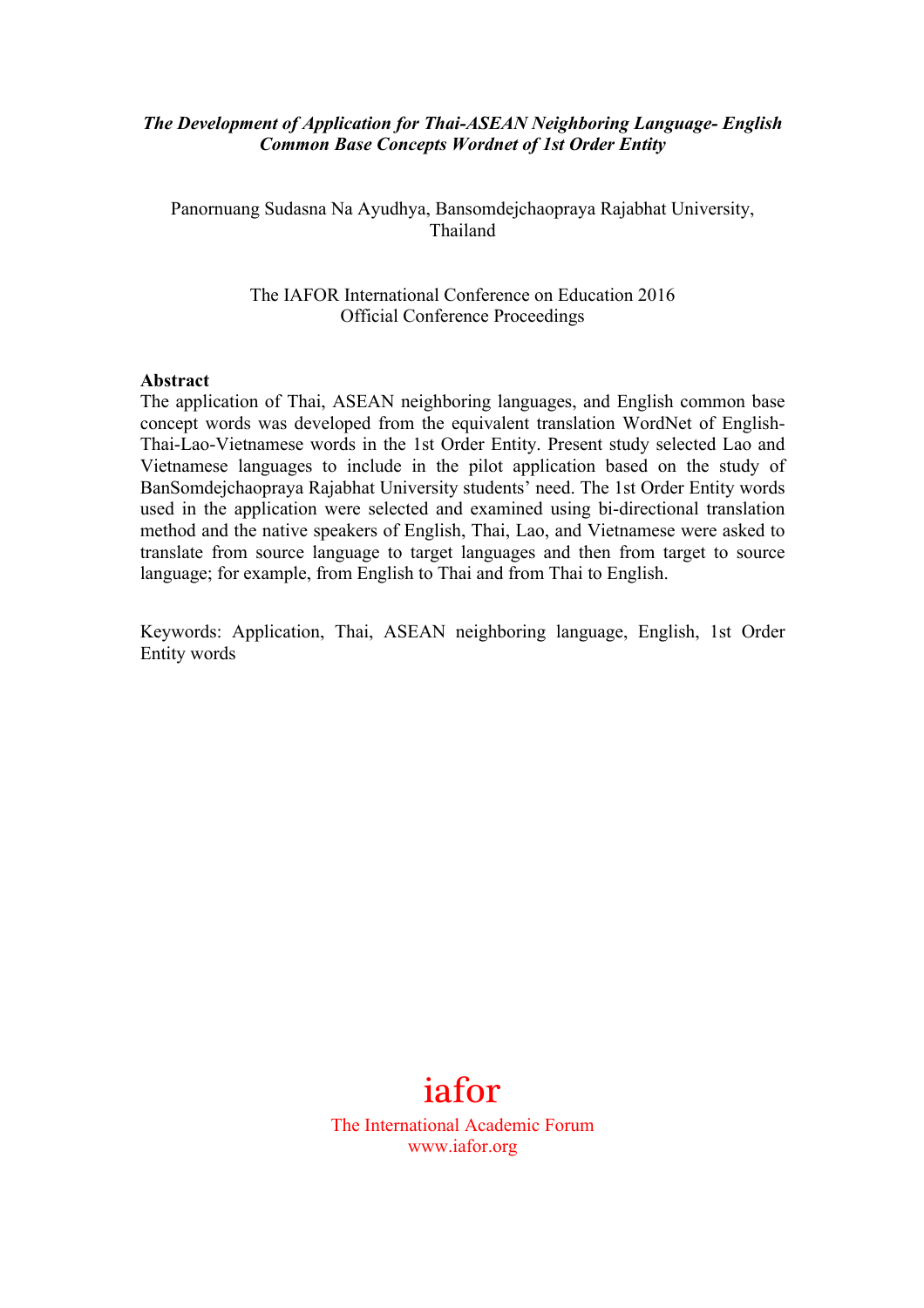## *The Development of Application for Thai-ASEAN Neighboring Language- English Common Base Concepts Wordnet of 1st Order Entity*

Panornuang Sudasna Na Ayudhya, Bansomdejchaopraya Rajabhat University, Thailand

> The IAFOR International Conference on Education 2016 Official Conference Proceedings

#### **Abstract**

The application of Thai, ASEAN neighboring languages, and English common base concept words was developed from the equivalent translation WordNet of English-Thai-Lao-Vietnamese words in the 1st Order Entity. Present study selected Lao and Vietnamese languages to include in the pilot application based on the study of BanSomdejchaopraya Rajabhat University students' need. The 1st Order Entity words used in the application were selected and examined using bi-directional translation method and the native speakers of English, Thai, Lao, and Vietnamese were asked to translate from source language to target languages and then from target to source language; for example, from English to Thai and from Thai to English.

Keywords: Application, Thai, ASEAN neighboring language, English, 1st Order Entity words



The International Academic Forum www.iafor.org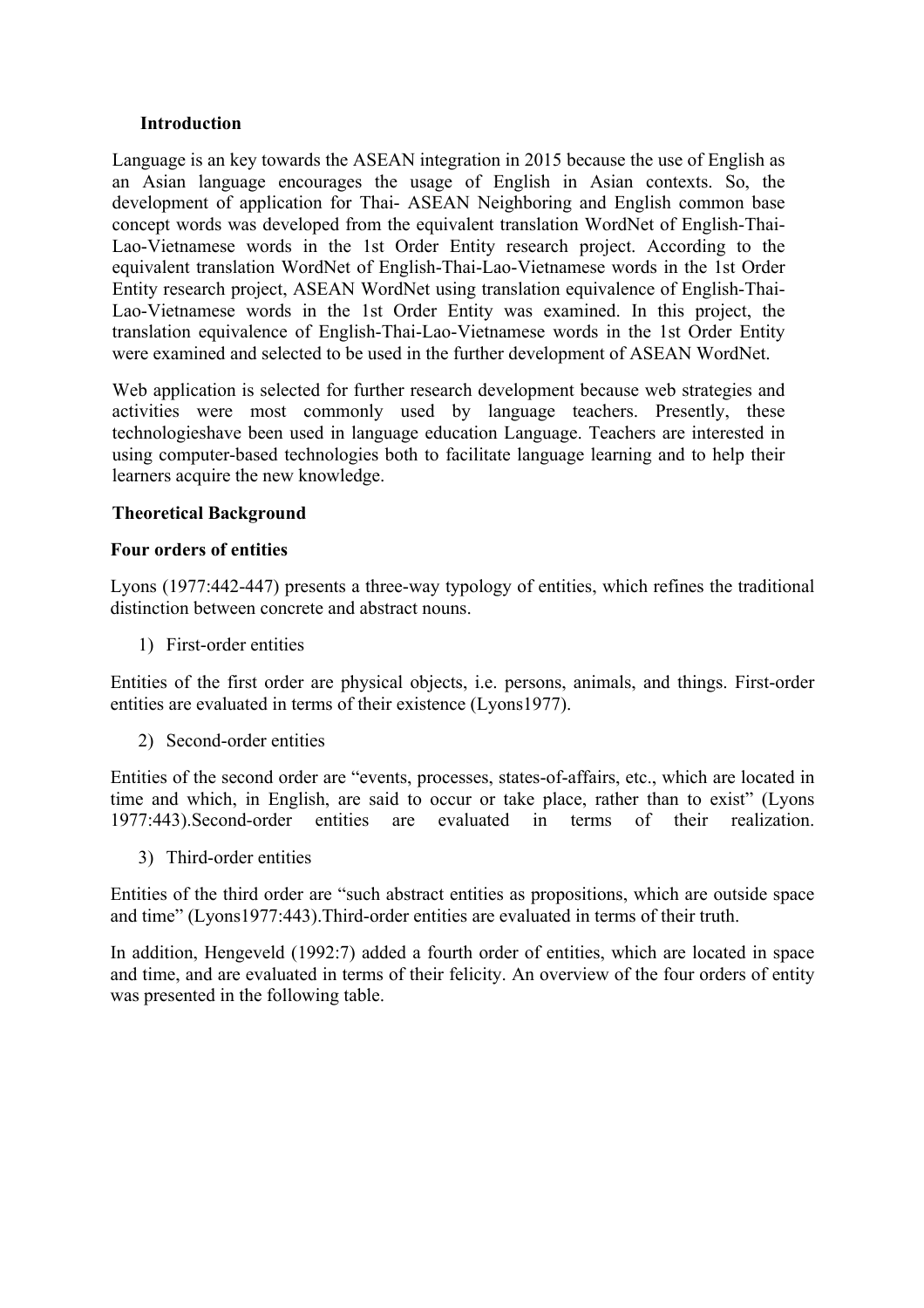#### **Introduction**

Language is an key towards the ASEAN integration in 2015 because the use of English as an Asian language encourages the usage of English in Asian contexts. So, the development of application for Thai- ASEAN Neighboring and English common base concept words was developed from the equivalent translation WordNet of English-Thai-Lao-Vietnamese words in the 1st Order Entity research project. According to the equivalent translation WordNet of English-Thai-Lao-Vietnamese words in the 1st Order Entity research project, ASEAN WordNet using translation equivalence of English-Thai-Lao-Vietnamese words in the 1st Order Entity was examined. In this project, the translation equivalence of English-Thai-Lao-Vietnamese words in the 1st Order Entity were examined and selected to be used in the further development of ASEAN WordNet.

Web application is selected for further research development because web strategies and activities were most commonly used by language teachers. Presently, these technologieshave been used in language education Language. Teachers are interested in using computer-based technologies both to facilitate language learning and to help their learners acquire the new knowledge.

# **Theoretical Background**

#### **Four orders of entities**

Lyons (1977:442-447) presents a three-way typology of entities, which refines the traditional distinction between concrete and abstract nouns.

1) First-order entities

Entities of the first order are physical objects, i.e. persons, animals, and things. First-order entities are evaluated in terms of their existence (Lyons1977).

2) Second-order entities

Entities of the second order are "events, processes, states-of-affairs, etc., which are located in time and which, in English, are said to occur or take place, rather than to exist" (Lyons 1977:443).Second-order entities are evaluated in terms of their realization.

3) Third-order entities

Entities of the third order are "such abstract entities as propositions, which are outside space and time" (Lyons1977:443).Third-order entities are evaluated in terms of their truth.

In addition, Hengeveld (1992:7) added a fourth order of entities, which are located in space and time, and are evaluated in terms of their felicity. An overview of the four orders of entity was presented in the following table.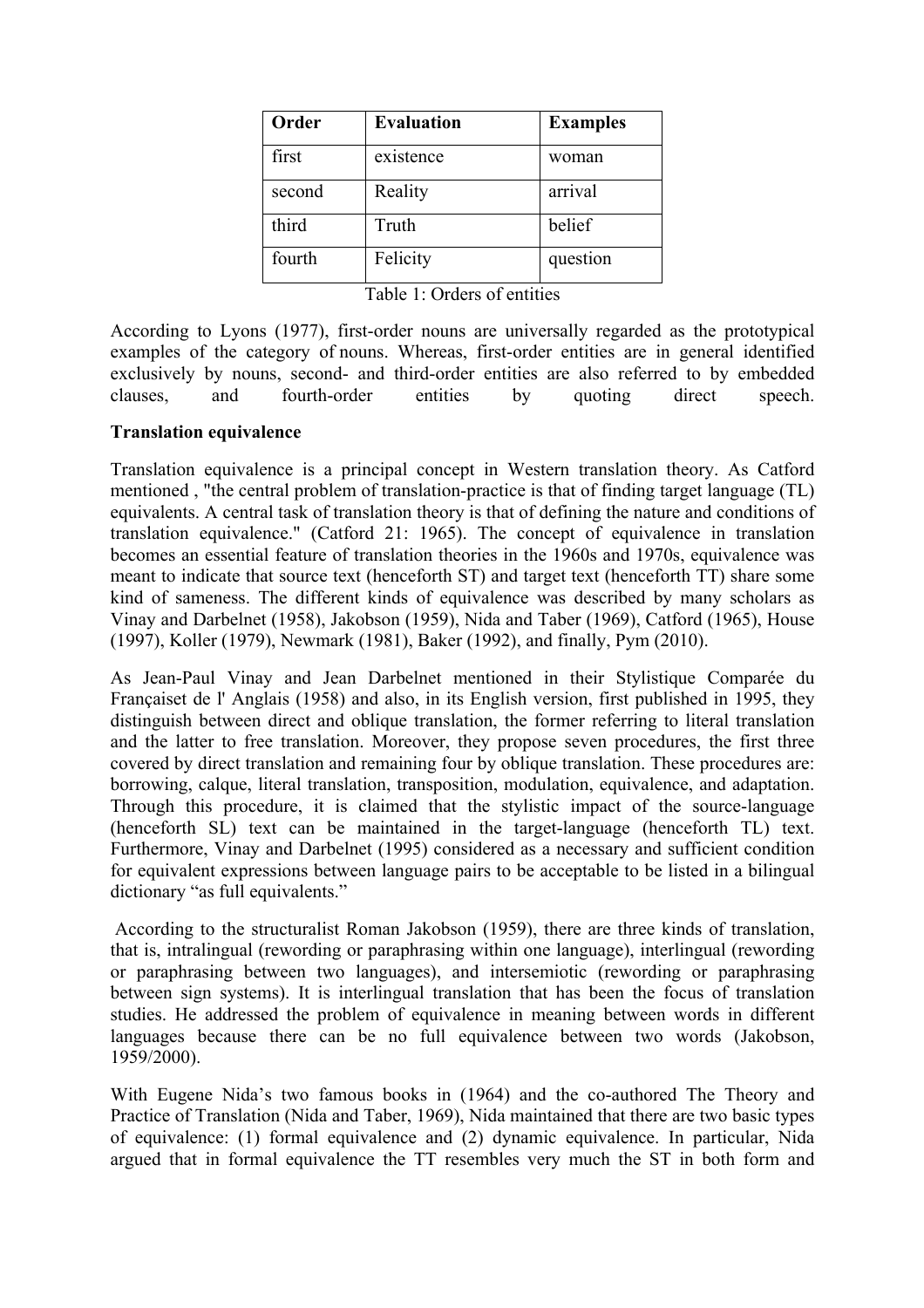| Order  | <b>Evaluation</b> | <b>Examples</b> |
|--------|-------------------|-----------------|
| first  | existence         | woman           |
| second | Reality           | arrival         |
| third  | Truth             | belief          |
| fourth | Felicity          | question        |

Table 1: Orders of entities

According to Lyons (1977), first-order nouns are universally regarded as the prototypical examples of the category of nouns. Whereas, first-order entities are in general identified exclusively by nouns, second- and third-order entities are also referred to by embedded clauses, and fourth-order entities by quoting direct speech.

#### **Translation equivalence**

Translation equivalence is a principal concept in Western translation theory. As Catford mentioned , "the central problem of translation-practice is that of finding target language (TL) equivalents. A central task of translation theory is that of defining the nature and conditions of translation equivalence." (Catford 21: 1965). The concept of equivalence in translation becomes an essential feature of translation theories in the 1960s and 1970s, equivalence was meant to indicate that source text (henceforth ST) and target text (henceforth TT) share some kind of sameness. The different kinds of equivalence was described by many scholars as Vinay and Darbelnet (1958), Jakobson (1959), Nida and Taber (1969), Catford (1965), House (1997), Koller (1979), Newmark (1981), Baker (1992), and finally, Pym (2010).

As Jean-Paul Vinay and Jean Darbelnet mentioned in their Stylistique Comparée du Françaiset de l' Anglais (1958) and also, in its English version, first published in 1995, they distinguish between direct and oblique translation, the former referring to literal translation and the latter to free translation. Moreover, they propose seven procedures, the first three covered by direct translation and remaining four by oblique translation. These procedures are: borrowing, calque, literal translation, transposition, modulation, equivalence, and adaptation. Through this procedure, it is claimed that the stylistic impact of the source-language (henceforth SL) text can be maintained in the target-language (henceforth TL) text. Furthermore, Vinay and Darbelnet (1995) considered as a necessary and sufficient condition for equivalent expressions between language pairs to be acceptable to be listed in a bilingual dictionary "as full equivalents."

According to the structuralist Roman Jakobson (1959), there are three kinds of translation, that is, intralingual (rewording or paraphrasing within one language), interlingual (rewording or paraphrasing between two languages), and intersemiotic (rewording or paraphrasing between sign systems). It is interlingual translation that has been the focus of translation studies. He addressed the problem of equivalence in meaning between words in different languages because there can be no full equivalence between two words (Jakobson, 1959/2000).

With Eugene Nida's two famous books in (1964) and the co-authored The Theory and Practice of Translation (Nida and Taber, 1969), Nida maintained that there are two basic types of equivalence: (1) formal equivalence and (2) dynamic equivalence. In particular, Nida argued that in formal equivalence the TT resembles very much the ST in both form and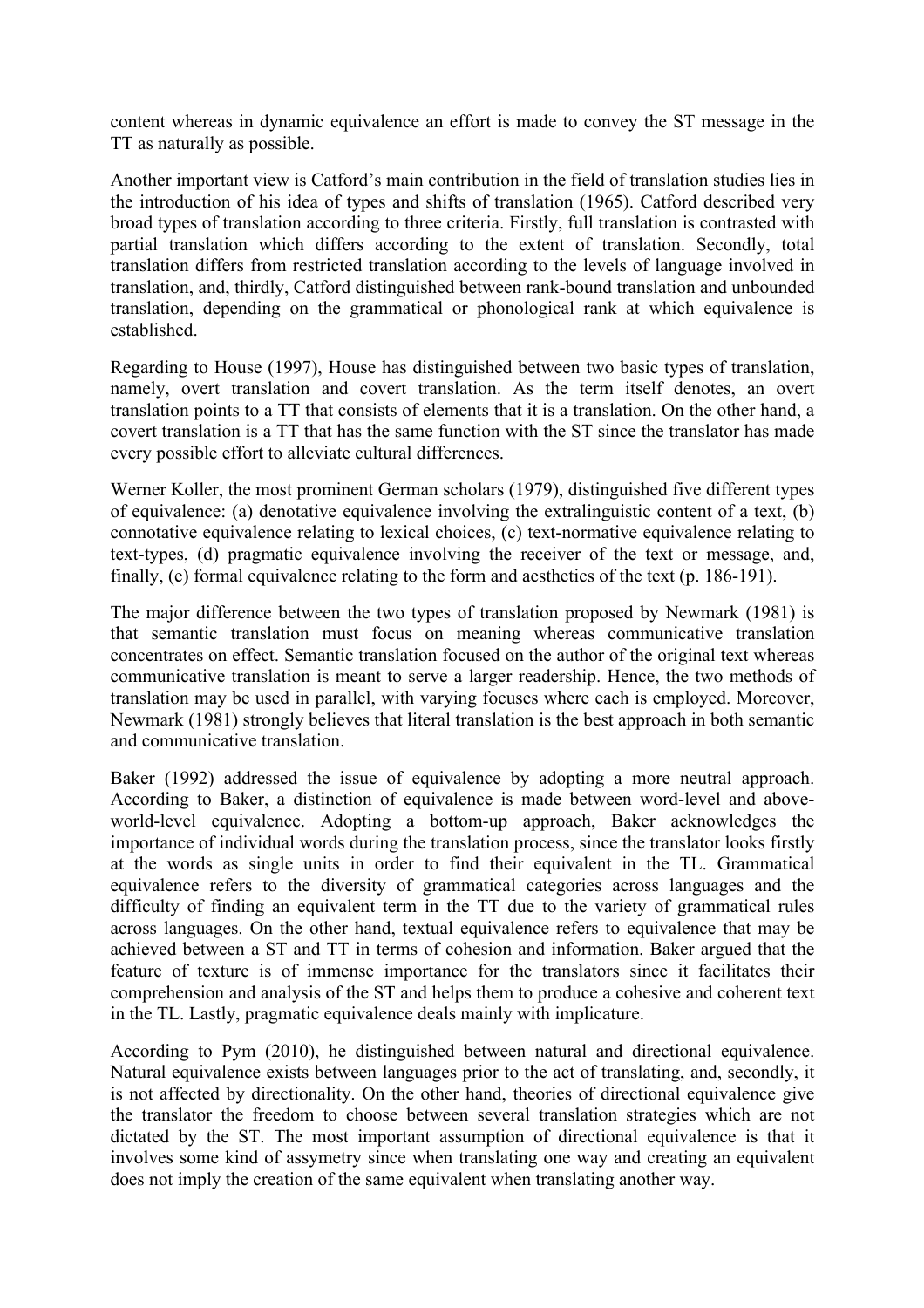content whereas in dynamic equivalence an effort is made to convey the ST message in the TT as naturally as possible.

Another important view is Catford's main contribution in the field of translation studies lies in the introduction of his idea of types and shifts of translation (1965). Catford described very broad types of translation according to three criteria. Firstly, full translation is contrasted with partial translation which differs according to the extent of translation. Secondly, total translation differs from restricted translation according to the levels of language involved in translation, and, thirdly, Catford distinguished between rank-bound translation and unbounded translation, depending on the grammatical or phonological rank at which equivalence is established.

Regarding to House (1997), House has distinguished between two basic types of translation, namely, overt translation and covert translation. As the term itself denotes, an overt translation points to a TT that consists of elements that it is a translation. On the other hand, a covert translation is a TT that has the same function with the ST since the translator has made every possible effort to alleviate cultural differences.

Werner Koller, the most prominent German scholars (1979), distinguished five different types of equivalence: (a) denotative equivalence involving the extralinguistic content of a text, (b) connotative equivalence relating to lexical choices, (c) text-normative equivalence relating to text-types, (d) pragmatic equivalence involving the receiver of the text or message, and, finally, (e) formal equivalence relating to the form and aesthetics of the text (p. 186-191).

The major difference between the two types of translation proposed by Newmark (1981) is that semantic translation must focus on meaning whereas communicative translation concentrates on effect. Semantic translation focused on the author of the original text whereas communicative translation is meant to serve a larger readership. Hence, the two methods of translation may be used in parallel, with varying focuses where each is employed. Moreover, Newmark (1981) strongly believes that literal translation is the best approach in both semantic and communicative translation.

Baker (1992) addressed the issue of equivalence by adopting a more neutral approach. According to Baker, a distinction of equivalence is made between word-level and aboveworld-level equivalence. Adopting a bottom-up approach, Baker acknowledges the importance of individual words during the translation process, since the translator looks firstly at the words as single units in order to find their equivalent in the TL. Grammatical equivalence refers to the diversity of grammatical categories across languages and the difficulty of finding an equivalent term in the TT due to the variety of grammatical rules across languages. On the other hand, textual equivalence refers to equivalence that may be achieved between a ST and TT in terms of cohesion and information. Baker argued that the feature of texture is of immense importance for the translators since it facilitates their comprehension and analysis of the ST and helps them to produce a cohesive and coherent text in the TL. Lastly, pragmatic equivalence deals mainly with implicature.

According to Pym (2010), he distinguished between natural and directional equivalence. Natural equivalence exists between languages prior to the act of translating, and, secondly, it is not affected by directionality. On the other hand, theories of directional equivalence give the translator the freedom to choose between several translation strategies which are not dictated by the ST. The most important assumption of directional equivalence is that it involves some kind of assymetry since when translating one way and creating an equivalent does not imply the creation of the same equivalent when translating another way.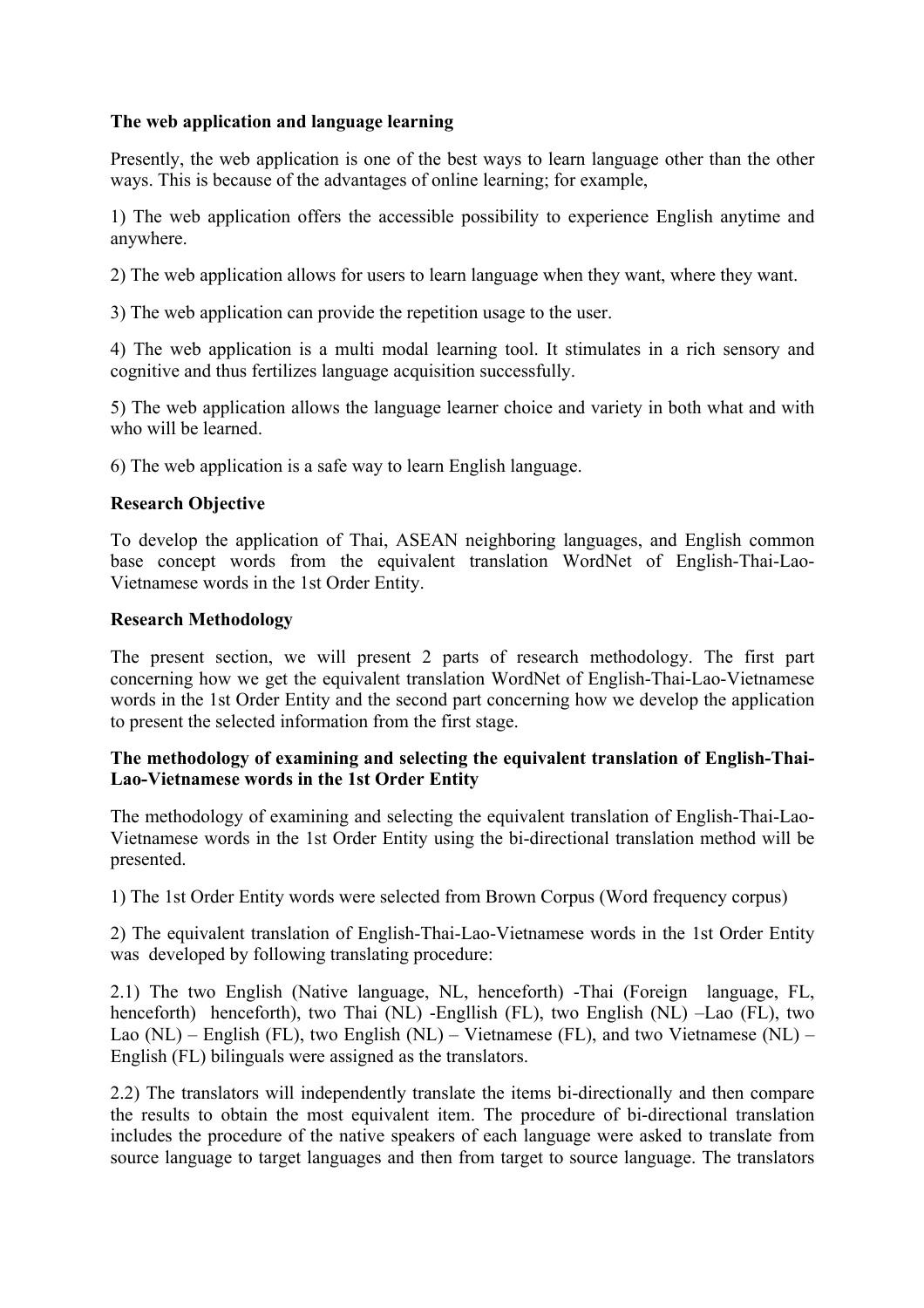# **The web application and language learning**

Presently, the web application is one of the best ways to learn language other than the other ways. This is because of the advantages of online learning; for example,

1) The web application offers the accessible possibility to experience English anytime and anywhere.

2) The web application allows for users to learn language when they want, where they want.

3) The web application can provide the repetition usage to the user.

4) The web application is a multi modal learning tool. It stimulates in a rich sensory and cognitive and thus fertilizes language acquisition successfully.

5) The web application allows the language learner choice and variety in both what and with who will be learned.

6) The web application is a safe way to learn English language.

# **Research Objective**

To develop the application of Thai, ASEAN neighboring languages, and English common base concept words from the equivalent translation WordNet of English-Thai-Lao-Vietnamese words in the 1st Order Entity.

## **Research Methodology**

The present section, we will present 2 parts of research methodology. The first part concerning how we get the equivalent translation WordNet of English-Thai-Lao-Vietnamese words in the 1st Order Entity and the second part concerning how we develop the application to present the selected information from the first stage.

## **The methodology of examining and selecting the equivalent translation of English-Thai-Lao-Vietnamese words in the 1st Order Entity**

The methodology of examining and selecting the equivalent translation of English-Thai-Lao-Vietnamese words in the 1st Order Entity using the bi-directional translation method will be presented.

1) The 1st Order Entity words were selected from Brown Corpus (Word frequency corpus)

2) The equivalent translation of English-Thai-Lao-Vietnamese words in the 1st Order Entity was developed by following translating procedure:

2.1) The two English (Native language, NL, henceforth) -Thai (Foreign language, FL, henceforth) henceforth), two Thai (NL) -Engllish (FL), two English (NL) –Lao (FL), two Lao  $(NL)$  – English (FL), two English  $(NL)$  – Vietnamese (FL), and two Vietnamese  $(NL)$  – English (FL) bilinguals were assigned as the translators.

2.2) The translators will independently translate the items bi-directionally and then compare the results to obtain the most equivalent item. The procedure of bi-directional translation includes the procedure of the native speakers of each language were asked to translate from source language to target languages and then from target to source language. The translators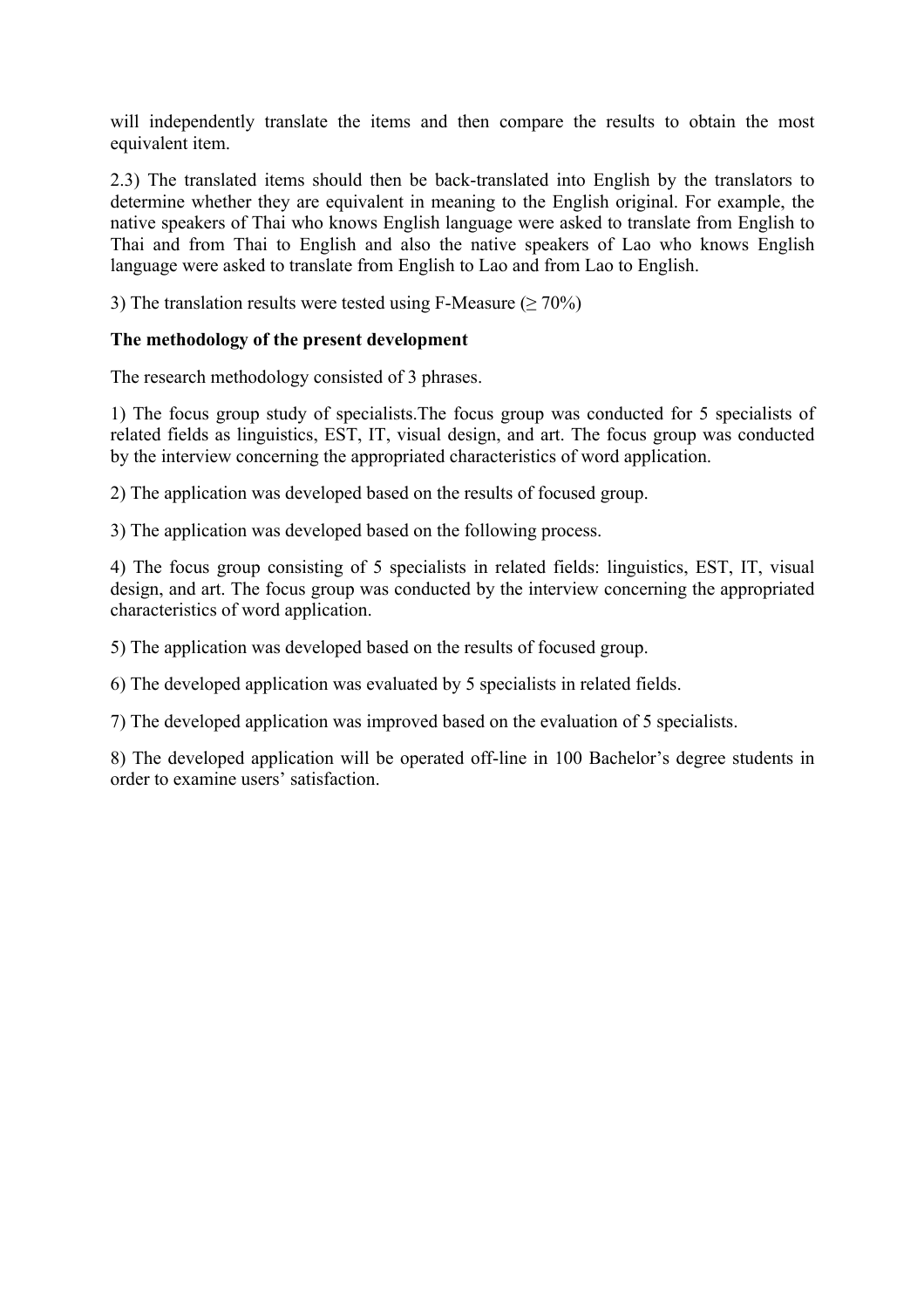will independently translate the items and then compare the results to obtain the most equivalent item.

2.3) The translated items should then be back-translated into English by the translators to determine whether they are equivalent in meaning to the English original. For example, the native speakers of Thai who knows English language were asked to translate from English to Thai and from Thai to English and also the native speakers of Lao who knows English language were asked to translate from English to Lao and from Lao to English.

3) The translation results were tested using F-Measure ( $\geq 70\%$ )

## **The methodology of the present development**

The research methodology consisted of 3 phrases.

1) The focus group study of specialists.The focus group was conducted for 5 specialists of related fields as linguistics, EST, IT, visual design, and art. The focus group was conducted by the interview concerning the appropriated characteristics of word application.

2) The application was developed based on the results of focused group.

3) The application was developed based on the following process.

4) The focus group consisting of 5 specialists in related fields: linguistics, EST, IT, visual design, and art. The focus group was conducted by the interview concerning the appropriated characteristics of word application.

5) The application was developed based on the results of focused group.

6) The developed application was evaluated by 5 specialists in related fields.

7) The developed application was improved based on the evaluation of 5 specialists.

8) The developed application will be operated off-line in 100 Bachelor's degree students in order to examine users' satisfaction.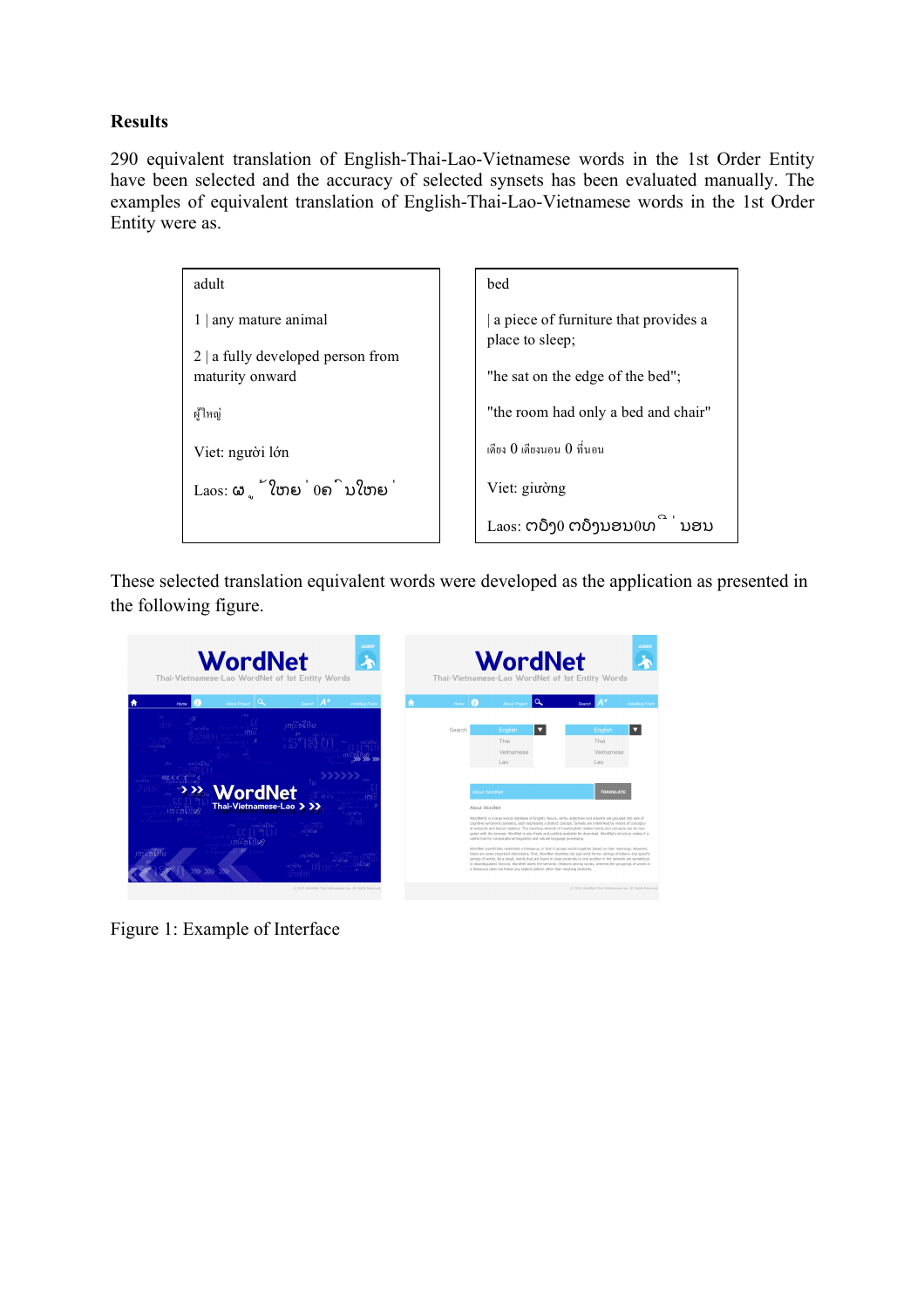# **Results**

290 equivalent translation of English-Thai-Lao-Vietnamese words in the 1st Order Entity have been selected and the accuracy of selected synsets has been evaluated manually. The examples of equivalent translation of English-Thai-Lao-Vietnamese words in the 1st Order Entity were as.

| adult                                           | bed                                                     |  |
|-------------------------------------------------|---------------------------------------------------------|--|
| $1 \mid$ any mature animal                      | a piece of furniture that provides a<br>place to sleep; |  |
| $2  $ a fully developed person from             |                                                         |  |
| maturity onward                                 | "he sat on the edge of the bed";                        |  |
| ผ้ใหญ่                                          | "the room had only a bed and chair"                     |  |
| Viet: người lớn                                 | เดียง 0 เดียงนอน 0 ที่นอน                               |  |
| $\text{Laos: } \mathfrak{S}$ ູ້ໃຫຍ່ $0$ ຄົນໃຫຍ່ | Viet: giuòng                                            |  |
|                                                 | $L$ aos: ຕຽງ $0$ ຕຽງນອນ $0$ ທ່<br>ນອນ                   |  |

These selected translation equivalent words were developed as the application as presented in the following figure.



Figure 1: Example of Interface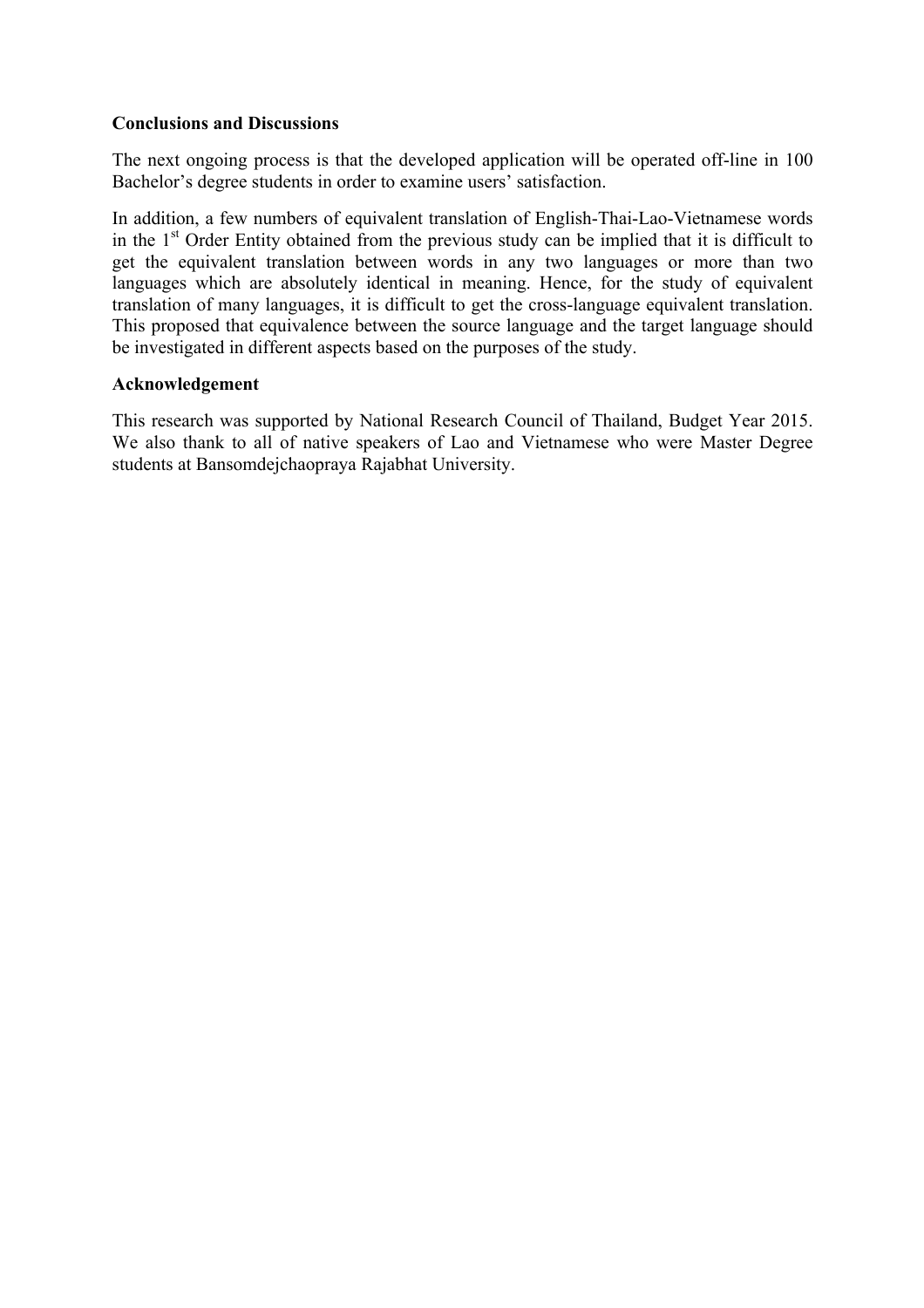#### **Conclusions and Discussions**

The next ongoing process is that the developed application will be operated off-line in 100 Bachelor's degree students in order to examine users' satisfaction.

In addition, a few numbers of equivalent translation of English-Thai-Lao-Vietnamese words in the  $1<sup>st</sup>$  Order Entity obtained from the previous study can be implied that it is difficult to get the equivalent translation between words in any two languages or more than two languages which are absolutely identical in meaning. Hence, for the study of equivalent translation of many languages, it is difficult to get the cross-language equivalent translation. This proposed that equivalence between the source language and the target language should be investigated in different aspects based on the purposes of the study.

## **Acknowledgement**

This research was supported by National Research Council of Thailand, Budget Year 2015. We also thank to all of native speakers of Lao and Vietnamese who were Master Degree students at Bansomdejchaopraya Rajabhat University.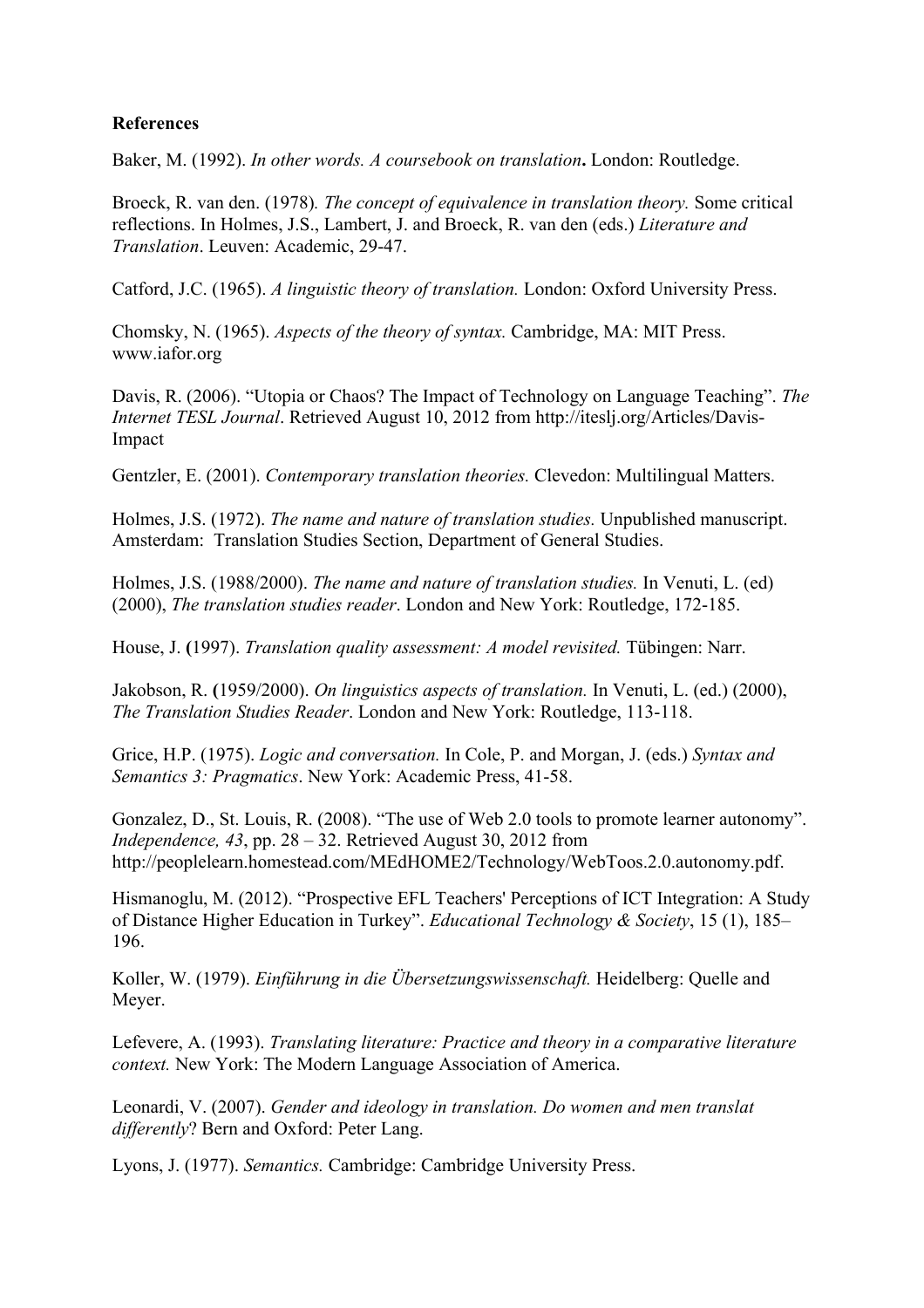# **References**

Baker, M. (1992). *In other words. A coursebook on translation***.** London: Routledge.

Broeck, R. van den. (1978)*. The concept of equivalence in translation theory.* Some critical reflections. In Holmes, J.S., Lambert, J. and Broeck, R. van den (eds.) *Literature and Translation*. Leuven: Academic, 29-47.

Catford, J.C. (1965). *A linguistic theory of translation.* London: Oxford University Press.

Chomsky, N. (1965). *Aspects of the theory of syntax.* Cambridge, MA: MIT Press. www.iafor.org

Davis, R. (2006). "Utopia or Chaos? The Impact of Technology on Language Teaching". *The Internet TESL Journal*. Retrieved August 10, 2012 from http://iteslj.org/Articles/Davis-Impact

Gentzler, E. (2001). *Contemporary translation theories.* Clevedon: Multilingual Matters.

Holmes, J.S. (1972). *The name and nature of translation studies.* Unpublished manuscript. Amsterdam: Translation Studies Section, Department of General Studies.

Holmes, J.S. (1988/2000). *The name and nature of translation studies.* In Venuti, L. (ed) (2000), *The translation studies reader*. London and New York: Routledge, 172-185.

House, J. **(**1997). *Translation quality assessment: A model revisited.* Tübingen: Narr.

Jakobson, R. **(**1959/2000). *On linguistics aspects of translation.* In Venuti, L. (ed.) (2000), *The Translation Studies Reader*. London and New York: Routledge, 113-118.

Grice, H.P. (1975). *Logic and conversation.* In Cole, P. and Morgan, J. (eds.) *Syntax and Semantics 3: Pragmatics*. New York: Academic Press, 41-58.

Gonzalez, D., St. Louis, R. (2008). "The use of Web 2.0 tools to promote learner autonomy". *Independence, 43*, pp. 28 – 32. Retrieved August 30, 2012 from http://peoplelearn.homestead.com/MEdHOME2/Technology/WebToos.2.0.autonomy.pdf.

Hismanoglu, M. (2012). "Prospective EFL Teachers' Perceptions of ICT Integration: A Study of Distance Higher Education in Turkey". *Educational Technology & Society*, 15 (1), 185– 196.

Koller, W. (1979). *Einführung in die Übersetzungswissenschaft.* Heidelberg: Quelle and Meyer.

Lefevere, A. (1993). *Translating literature: Practice and theory in a comparative literature context.* New York: The Modern Language Association of America.

Leonardi, V. (2007). *Gender and ideology in translation. Do women and men translat differently*? Bern and Oxford: Peter Lang.

Lyons, J. (1977). *Semantics.* Cambridge: Cambridge University Press.